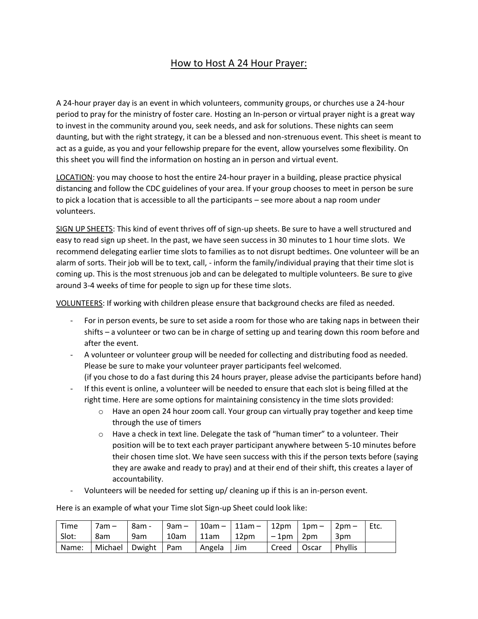## How to Host A 24 Hour Prayer:

A 24-hour prayer day is an event in which volunteers, community groups, or churches use a 24-hour period to pray for the ministry of foster care. Hosting an In-person or virtual prayer night is a great way to invest in the community around you, seek needs, and ask for solutions. These nights can seem daunting, but with the right strategy, it can be a blessed and non-strenuous event. This sheet is meant to act as a guide, as you and your fellowship prepare for the event, allow yourselves some flexibility. On this sheet you will find the information on hosting an in person and virtual event.

LOCATION: you may choose to host the entire 24-hour prayer in a building, please practice physical distancing and follow the CDC guidelines of your area. If your group chooses to meet in person be sure to pick a location that is accessible to all the participants – see more about a nap room under volunteers.

SIGN UP SHEETS: This kind of event thrives off of sign-up sheets. Be sure to have a well structured and easy to read sign up sheet. In the past, we have seen success in 30 minutes to 1 hour time slots. We recommend delegating earlier time slots to families as to not disrupt bedtimes. One volunteer will be an alarm of sorts. Their job will be to text, call, - inform the family/individual praying that their time slot is coming up. This is the most strenuous job and can be delegated to multiple volunteers. Be sure to give around 3-4 weeks of time for people to sign up for these time slots.

VOLUNTEERS: If working with children please ensure that background checks are filed as needed.

- For in person events, be sure to set aside a room for those who are taking naps in between their shifts – a volunteer or two can be in charge of setting up and tearing down this room before and after the event.
- A volunteer or volunteer group will be needed for collecting and distributing food as needed. Please be sure to make your volunteer prayer participants feel welcomed. (if you chose to do a fast during this 24 hours prayer, please advise the participants before hand)
- If this event is online, a volunteer will be needed to ensure that each slot is being filled at the right time. Here are some options for maintaining consistency in the time slots provided:
	- $\circ$  Have an open 24 hour zoom call. Your group can virtually pray together and keep time through the use of timers
	- $\circ$  Have a check in text line. Delegate the task of "human timer" to a volunteer. Their position will be to text each prayer participant anywhere between 5-10 minutes before their chosen time slot. We have seen success with this if the person texts before (saying they are awake and ready to pray) and at their end of their shift, this creates a layer of accountability.
- Volunteers will be needed for setting up/ cleaning up if this is an in-person event.

Here is an example of what your Time slot Sign-up Sheet could look like:

| Time  | $7am -$                | 8am - |      |        | 9am -   10am -   11am -   12pm   1pm - |                  |         | 2pm $-$ | └ Etc. |
|-------|------------------------|-------|------|--------|----------------------------------------|------------------|---------|---------|--------|
| Slot: | 8am                    | 9am   | 10am | l 11am | 12 <sub>pm</sub>                       | $l - 1$ pm   2pm |         | 3pm     |        |
| Name: | Michael   Dwight   Pam |       |      | Angela | Jim                                    | Creed            | l Oscar | Phyllis |        |